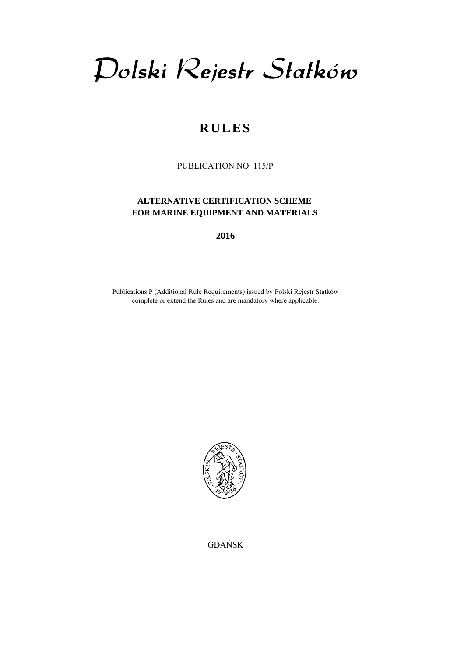Dolski Rejestr Statków

# **RULES**

PUBLICATION NO. 115/P

## **ALTERNATIVE CERTIFICATION SCHEME FOR MARINE EQUIPMENT AND MATERIALS**

**2016** 

Publications P (Additional Rule Requirements) issued by Polski Rejestr Statków complete or extend the Rules and are mandatory where applicable.



GDAŃSK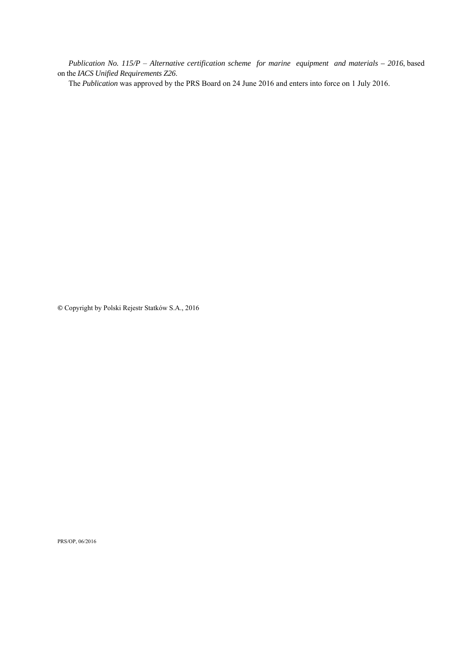*Publication No. 115/P* – *Alternative certification scheme for marine equipment and materials – 2016*, based on the *IACS Unified Requirements Z26*.

The *Publication* was approved by the PRS Board on 24 June 2016 and enters into force on 1 July 2016.

**©** Copyright by Polski Rejestr Statków S.A., 2016

PRS/OP, 06/2016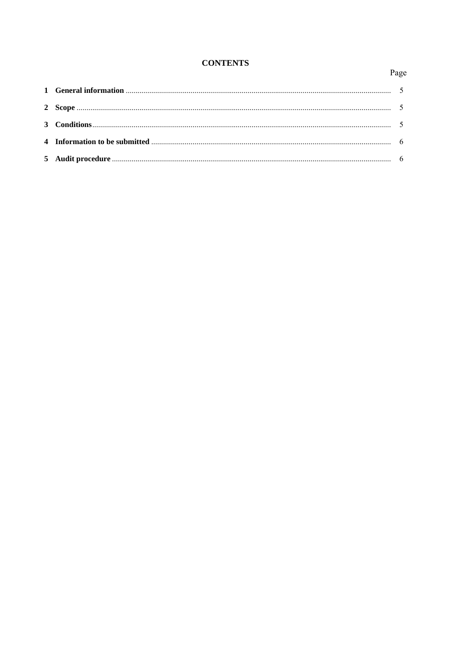# **CONTENTS**

# Page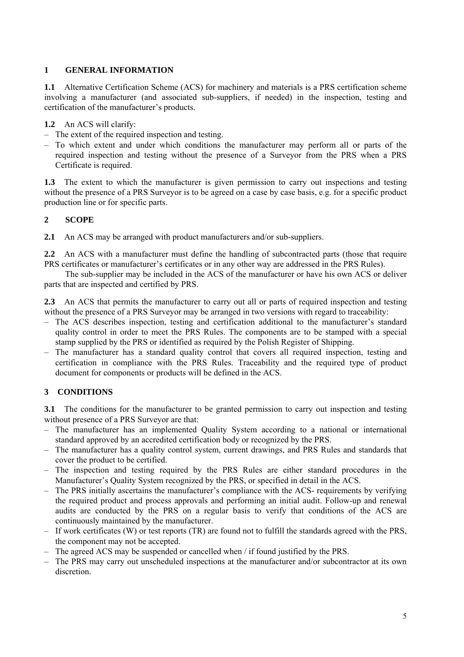#### <span id="page-4-0"></span>**1 GENERAL INFORMATION**

**1.1** Alternative Certification Scheme (ACS) for machinery and materials is a PRS certification scheme involving a manufacturer (and associated sub-suppliers, if needed) in the inspection, testing and certification of the manufacturer's products.

**1.2** An ACS will clarify:

- The extent of the required inspection and testing.
- To which extent and under which conditions the manufacturer may perform all or parts of the required inspection and testing without the presence of a Surveyor from the PRS when a PRS Certificate is required.

**1.3** The extent to which the manufacturer is given permission to carry out inspections and testing without the presence of a PRS Surveyor is to be agreed on a case by case basis, e.g. for a specific product production line or for specific parts.

#### **2 SCOPE**

**2.1** An ACS may be arranged with product manufacturers and/or sub-suppliers.

**2.2** An ACS with a manufacturer must define the handling of subcontracted parts (those that require PRS certificates or manufacturer's certificates or in any other way are addressed in the PRS Rules).

The sub-supplier may be included in the ACS of the manufacturer or have his own ACS or deliver parts that are inspected and certified by PRS.

**2.3** An ACS that permits the manufacturer to carry out all or parts of required inspection and testing without the presence of a PRS Surveyor may be arranged in two versions with regard to traceability:

- The ACS describes inspection, testing and certification additional to the manufacturer's standard quality control in order to meet the PRS Rules. The components are to be stamped with a special stamp supplied by the PRS or identified as required by the Polish Register of Shipping.
- The manufacturer has a standard quality control that covers all required inspection, testing and certification in compliance with the PRS Rules. Traceability and the required type of product document for components or products will be defined in the ACS.

## **3 CONDITIONS**

**3.1** The conditions for the manufacturer to be granted permission to carry out inspection and testing without presence of a PRS Surveyor are that:

- The manufacturer has an implemented Quality System according to a national or international standard approved by an accredited certification body or recognized by the PRS.
- The manufacturer has a quality control system, current drawings, and PRS Rules and standards that cover the product to be certified.
- The inspection and testing required by the PRS Rules are either standard procedures in the Manufacturer's Quality System recognized by the PRS, or specified in detail in the ACS.
- The PRS initially ascertains the manufacturer's compliance with the ACS- requirements by verifying the required product and process approvals and performing an initial audit. Follow-up and renewal audits are conducted by the PRS on a regular basis to verify that conditions of the ACS are continuously maintained by the manufacturer.
- If work certificates (W) or test reports (TR) are found not to fulfill the standards agreed with the PRS, the component may not be accepted.
- The agreed ACS may be suspended or cancelled when / if found justified by the PRS.
- The PRS may carry out unscheduled inspections at the manufacturer and/or subcontractor at its own discretion.